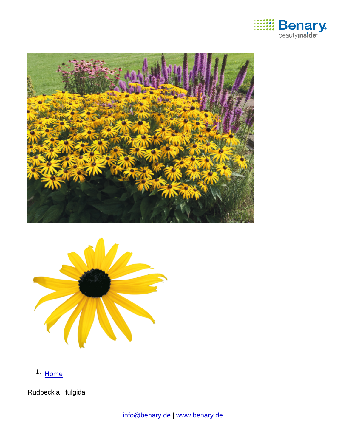

1. [Home](https://www.benary.com/)

Rudbeckia fulgida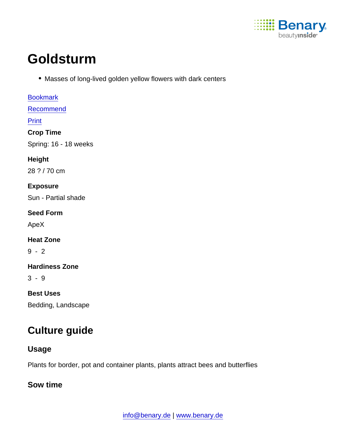

# **Goldsturm**

Masses of long-lived golden yellow flowers with dark centers

[Bookmark](https://www.benary.com/flag/flag/product/6231?destination&token=83S2Dk25t_4eYT216Z5N-HdfeZnl5SskstfzwAf8Qf4) [Recommend](mailto:?subject=Benary Rudbeckia fulgida &body=https://www.benary.com/print/pdf/node/6231) Print Crop Time Spring: 16 - 18 weeks Height 28 ? / 70 cm Exposure Sun - Partial shade Seed Form ApeX Heat Zone 9 - 2 Hardiness Zone 3 - 9 Best Uses Bedding, Landscape

# Culture guide

Usage

Plants for border, pot and container plants, plants attract bees and butterflies

Sow time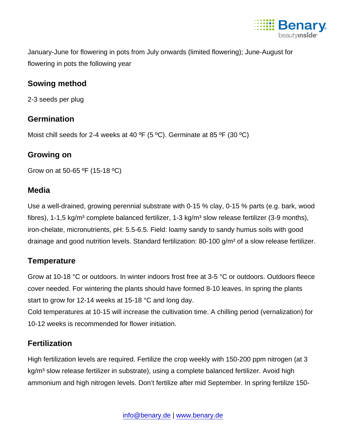

January-June for flowering in pots from July onwards (limited flowering); June-August for flowering in pots the following year

## Sowing method

2-3 seeds per plug

### **Germination**

Moist chill seeds for 2-4 weeks at 40 °F (5 °C). Germinate at 85 °F (30 °C)

Growing on

Grow on at 50-65 ºF (15-18 ºC)

#### **Media**

Use a well-drained, growing perennial substrate with 0-15 % clay, 0-15 % parts (e.g. bark, wood fibres), 1-1,5 kg/m<sup>3</sup> complete balanced fertilizer, 1-3 kg/m<sup>3</sup> slow release fertilizer (3-9 months), iron-chelate, micronutrients, pH: 5.5-6.5. Field: loamy sandy to sandy humus soils with good drainage and good nutrition levels. Standard fertilization: 80-100 g/m² of a slow release fertilizer.

# **Temperature**

Grow at 10-18 °C or outdoors. In winter indoors frost free at 3-5 °C or outdoors. Outdoors fleece cover needed. For wintering the plants should have formed 8-10 leaves. In spring the plants start to grow for 12-14 weeks at 15-18 °C and long day.

Cold temperatures at 10-15 will increase the cultivation time. A chilling period (vernalization) for 10-12 weeks is recommended for flower initiation.

# **Fertilization**

High fertilization levels are required. Fertilize the crop weekly with 150-200 ppm nitrogen (at 3 kg/m<sup>3</sup> slow release fertilizer in substrate), using a complete balanced fertilizer. Avoid high ammonium and high nitrogen levels. Don't fertilize after mid September. In spring fertilize 150-